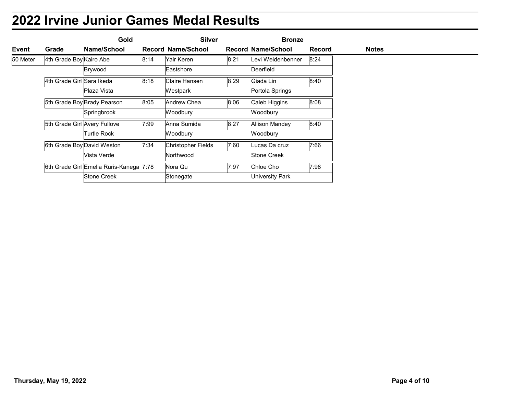| <b>2022 Irvine Junior Games Medal Results</b><br><b>Silver</b><br>Gold<br><b>Bronze</b><br>Name/School<br><b>Record Name/School</b><br><b>Record Name/School</b><br>Event<br><b>Record</b><br>Grade<br><b>Notes</b><br>50 Meter<br>4th Grade Boy Kairo Abe<br>8:14<br>Yair Keren<br>8:21<br>Levi Weidenbenner<br>8:24<br>Eastshore<br>Deerfield<br>Brywood<br>4th Grade Girl Sara Ikeda<br>8:18<br>Claire Hansen<br>8.29<br>Giada Lin<br>8:40<br>Plaza Vista<br>Westpark<br>Portola Springs<br>8:05<br>5th Grade Boy Brady Pearson<br>8:06<br>8:08<br>Andrew Chea<br>Caleb Higgins |
|------------------------------------------------------------------------------------------------------------------------------------------------------------------------------------------------------------------------------------------------------------------------------------------------------------------------------------------------------------------------------------------------------------------------------------------------------------------------------------------------------------------------------------------------------------------------------------|
|                                                                                                                                                                                                                                                                                                                                                                                                                                                                                                                                                                                    |
|                                                                                                                                                                                                                                                                                                                                                                                                                                                                                                                                                                                    |
|                                                                                                                                                                                                                                                                                                                                                                                                                                                                                                                                                                                    |
|                                                                                                                                                                                                                                                                                                                                                                                                                                                                                                                                                                                    |
|                                                                                                                                                                                                                                                                                                                                                                                                                                                                                                                                                                                    |
|                                                                                                                                                                                                                                                                                                                                                                                                                                                                                                                                                                                    |
|                                                                                                                                                                                                                                                                                                                                                                                                                                                                                                                                                                                    |
|                                                                                                                                                                                                                                                                                                                                                                                                                                                                                                                                                                                    |
|                                                                                                                                                                                                                                                                                                                                                                                                                                                                                                                                                                                    |
|                                                                                                                                                                                                                                                                                                                                                                                                                                                                                                                                                                                    |
|                                                                                                                                                                                                                                                                                                                                                                                                                                                                                                                                                                                    |
|                                                                                                                                                                                                                                                                                                                                                                                                                                                                                                                                                                                    |
|                                                                                                                                                                                                                                                                                                                                                                                                                                                                                                                                                                                    |
|                                                                                                                                                                                                                                                                                                                                                                                                                                                                                                                                                                                    |
|                                                                                                                                                                                                                                                                                                                                                                                                                                                                                                                                                                                    |
|                                                                                                                                                                                                                                                                                                                                                                                                                                                                                                                                                                                    |
| Woodbury<br>Springbrook<br>Woodbury                                                                                                                                                                                                                                                                                                                                                                                                                                                                                                                                                |
| 5th Grade Girl Avery Fullove<br>7:99<br>8:27<br>Anna Sumida<br>Allison Mandey<br>8:40                                                                                                                                                                                                                                                                                                                                                                                                                                                                                              |
| Turtle Rock<br>Woodbury<br>Woodbury                                                                                                                                                                                                                                                                                                                                                                                                                                                                                                                                                |
| 6th Grade Boy David Weston<br>7:34<br>7:60<br>7:66<br>Christopher Fields<br>Lucas Da cruz                                                                                                                                                                                                                                                                                                                                                                                                                                                                                          |
| Vista Verde<br>Northwood<br>Stone Creek                                                                                                                                                                                                                                                                                                                                                                                                                                                                                                                                            |
|                                                                                                                                                                                                                                                                                                                                                                                                                                                                                                                                                                                    |
| 6th Grade Girl Emelia Ruris-Kanega 7:78<br>7:97<br>Chloe Cho<br>7:98<br>Nora Qu                                                                                                                                                                                                                                                                                                                                                                                                                                                                                                    |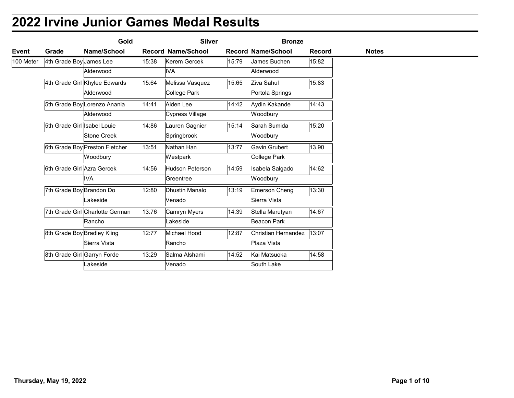|           |                         | Gold                                       |                | <b>Silver</b>                   |       | <b>Bronze</b>                 |               |              |  |
|-----------|-------------------------|--------------------------------------------|----------------|---------------------------------|-------|-------------------------------|---------------|--------------|--|
| Event     | Grade                   | Name/School                                |                | <b>Record Name/School</b>       |       | <b>Record Name/School</b>     | <b>Record</b> | <b>Notes</b> |  |
| 100 Meter | 4th Grade Boy James Lee |                                            | 15:38          | Kerem Gercek<br>IVA             | 15:79 | James Buchen<br>Alderwood     | 15:82         |              |  |
|           |                         | Alderwood                                  |                |                                 |       |                               |               |              |  |
|           |                         | 4th Grade Girl Khylee Edwards<br>Alderwood | 15:64          | Melissa Vasquez<br>College Park | 15:65 | Ziva Sahul<br>Portola Springs | 15:83         |              |  |
|           |                         |                                            | 14:41          | Aiden Lee                       | 14:42 |                               | 14:43         |              |  |
|           |                         | 5th Grade Boy Lorenzo Anania<br>Alderwood  |                | Cypress Village                 |       | Aydin Kakande<br>Woodbury     |               |              |  |
|           |                         | 5th Grade Girl Isabel Louie                | $\sqrt{14:86}$ | Lauren Gagnier                  | 15:14 | Sarah Sumida                  | 15:20         |              |  |
|           |                         | <b>Stone Creek</b>                         |                | Springbrook                     |       | Woodbury                      |               |              |  |
|           |                         | 6th Grade Boy Preston Fletcher             | 13:51          | Nathan Han                      | 13:77 | Gavin Grubert                 | 13.90         |              |  |
|           |                         | Woodbury                                   |                | Westpark                        |       | College Park                  |               |              |  |
|           |                         | 6th Grade Girl Azra Gercek                 | 14:56          | Hudson Peterson                 | 14:59 | Isabela Salgado               | 14:62         |              |  |
|           |                         | <b>IVA</b>                                 |                | Greentree                       |       | Woodbury                      |               |              |  |
|           |                         | 7th Grade Boy Brandon Do                   | 12:80          | Dhustin Manalo                  | 13:19 | Emerson Cheng                 | 13:30         |              |  |
|           |                         | Lakeside                                   |                | Venado                          |       | Sierra Vista                  |               |              |  |
|           |                         | 7th Grade Girl Charlotte German            | 13:76          | Camryn Myers                    | 14:39 | Stella Marutyan               | 14:67         |              |  |
|           |                         | Rancho                                     |                | Lakeside                        |       | Beacon Park                   |               |              |  |
|           |                         | 8th Grade Boy Bradley Kling                | 12:77          | Michael Hood                    | 12:87 | Christian Hernandez 13:07     |               |              |  |
|           |                         | Sierra Vista                               |                | Rancho                          |       | Plaza Vista                   |               |              |  |
|           |                         | 8th Grade Girl Garryn Forde                | 13:29          | Salma Alshami                   | 14:52 | Kai Matsuoka                  | 14:58         |              |  |
|           |                         | akeside                                    |                | Venado                          |       | South Lake                    |               |              |  |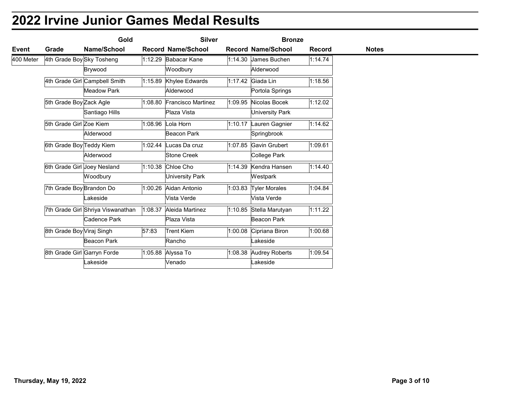| Event     |                           | Gold                                                |                    | <b>Silver</b>                       | <b>Bronze</b>                        |               |              |  |
|-----------|---------------------------|-----------------------------------------------------|--------------------|-------------------------------------|--------------------------------------|---------------|--------------|--|
|           | Grade                     | Name/School                                         |                    | <b>Record Name/School</b>           | <b>Record Name/School</b>            | <b>Record</b> | <b>Notes</b> |  |
| 400 Meter | 4th Grade Boy Sky Tosheng |                                                     |                    | 1:12.29 Babacar Kane                | $1:14.30$ James Buchen               | 1:14.74       |              |  |
|           |                           | Brywood                                             |                    | Woodbury                            | Alderwood                            |               |              |  |
|           |                           | 4th Grade Girl Campbell Smith<br><b>Meadow Park</b> |                    | 1:15.89 Khylee Edwards<br>Alderwood | 1:17.42 Giada Lin<br>Portola Springs | 1:18.56       |              |  |
|           |                           |                                                     |                    | 1:08.80 Francisco Martinez          | 1:09.95 Nicolas Bocek                |               |              |  |
|           | 5th Grade Boy Zack Agle   | Santiago Hills                                      |                    | Plaza Vista                         | <b>University Park</b>               | 1:12.02       |              |  |
|           | 5th Grade Girl Zoe Kiem   |                                                     |                    | 1:08.96 Lola Horn                   | 1:10.17 Lauren Gagnier               | 1:14.62       |              |  |
|           |                           | Alderwood                                           |                    | Beacon Park                         | Springbrook                          |               |              |  |
|           | 6th Grade Boy Teddy Kiem  |                                                     |                    | $1:02.44$ Lucas Da cruz             | 1:07.85 Gavin Grubert                | 1:09.61       |              |  |
|           |                           | Alderwood                                           |                    | Stone Creek                         | College Park                         |               |              |  |
|           |                           | 6th Grade Girl Joey Nesland                         |                    | 1:10.38 Chloe Cho                   | 1:14.39 Kendra Hansen                | 1:14.40       |              |  |
|           |                           | Woodbury                                            |                    | University Park                     | Westpark                             |               |              |  |
|           | 7th Grade Boy Brandon Do  |                                                     |                    | 1:00.26 Aidan Antonio               | 1:03.83 Tyler Morales                | 1:04.84       |              |  |
|           |                           | Lakeside                                            |                    | Vista Verde                         | Vista Verde                          |               |              |  |
|           |                           | 7th Grade Girl Shriya Viswanathan                   |                    | 1:08.37 Aleida Martinez             | 1:10.85 Stella Marutyan              | 1:11.22       |              |  |
|           |                           | Cadence Park                                        |                    | Plaza Vista                         | Beacon Park                          |               |              |  |
|           | 8th Grade Boy Viraj Singh |                                                     | $\overline{57:83}$ | <b>Trent Kiem</b>                   | 1:00.08 Cipriana Biron               | 1:00.68       |              |  |
|           |                           | Beacon Park                                         |                    | Rancho                              | Lakeside                             |               |              |  |
|           |                           | 8th Grade Girl Garryn Forde                         |                    | 1:05.88 Alyssa To                   | 1:08.38 Audrey Roberts               | 1:09.54       |              |  |
|           |                           | akeside                                             |                    | Venado                              | Lakeside                             |               |              |  |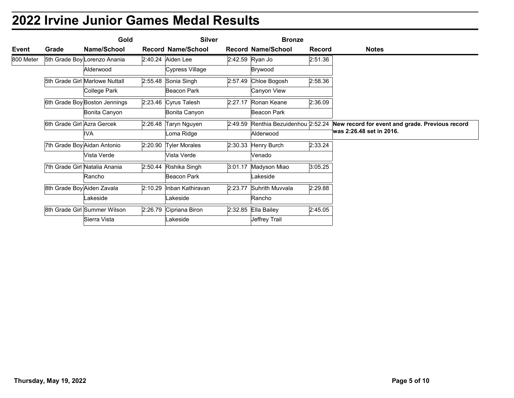|           |                            | Gold                                       |                        | <b>Silver</b>             |                 | <b>Bronze</b>                      |               |                                                                                                                 |
|-----------|----------------------------|--------------------------------------------|------------------------|---------------------------|-----------------|------------------------------------|---------------|-----------------------------------------------------------------------------------------------------------------|
| Event     | Grade                      | Name/School                                |                        | <b>Record Name/School</b> |                 | <b>Record Name/School</b>          | <b>Record</b> | <b>Notes</b>                                                                                                    |
| 800 Meter |                            | 5th Grade Boy Lorenzo Anania               | 2:40.24 Aiden Lee      |                           | 2:42.59 Ryan Jo |                                    | 2:51.36       |                                                                                                                 |
|           |                            | Alderwood                                  |                        | Cypress Village           |                 | Brywood                            |               |                                                                                                                 |
|           |                            | 5th Grade Girl Marlowe Nuttall             | 2:55.48 Sonia Singh    |                           |                 | 2:57.49 Chloe Bogosh               | 2:58.36       |                                                                                                                 |
|           |                            | College Park                               |                        | Beacon Park               |                 | Canyon View                        |               |                                                                                                                 |
|           |                            | 6th Grade Boy Boston Jennings              | 2:23.46 Cyrus Talesh   |                           |                 | 2:27.17 Ronan Keane<br>Beacon Park | 2:36.09       |                                                                                                                 |
|           |                            | Bonita Canyon                              |                        | Bonita Canyon             |                 |                                    |               |                                                                                                                 |
|           | 6th Grade Girl Azra Gercek | <b>IVA</b>                                 | $2:26.48$ Taryn Nguyen | Loma Ridge                |                 | Alderwood                          |               | 2:49.59 Renthia Bezuidenhou 2:52.24 New record for event and grade. Previous record<br>was 2:26.48 set in 2016. |
|           |                            |                                            |                        |                           |                 |                                    |               |                                                                                                                 |
|           |                            | 7th Grade Boy Aidan Antonio<br>Vista Verde | 2:20.90 Tyler Morales  | Vista Verde               |                 | $2:30.33$ Henry Burch<br>Venado    | 2:33.24       |                                                                                                                 |
|           |                            |                                            |                        |                           |                 |                                    |               |                                                                                                                 |
|           |                            | 7th Grade Girl Natalia Anania<br>Rancho    | 2:50.44 Rishika Singh  | Beacon Park               |                 | 3:01.17 Madyson Miao<br>Lakeside   | 3:05.25       |                                                                                                                 |
|           |                            |                                            |                        | 2:10.29 Inban Kathiravan  |                 | 2:23.77 Suhrith Muvvala            |               |                                                                                                                 |
|           | 8th Grade Boy Aiden Zavala | Lakeside                                   |                        | Lakeside                  |                 | Rancho                             | 2:29.88       |                                                                                                                 |
|           |                            | 8th Grade Girl Summer Wilson               | 2:26.79 Cipriana Biron |                           |                 | $2:32.85$ Ella Bailey              | 2:45.05       |                                                                                                                 |
|           |                            | Sierra Vista                               |                        | Lakeside                  |                 | Jeffrey Trail                      |               |                                                                                                                 |
|           |                            |                                            |                        |                           |                 |                                    |               |                                                                                                                 |
|           |                            |                                            |                        |                           |                 |                                    |               |                                                                                                                 |
|           | Thursday, May 19, 2022     |                                            |                        |                           |                 |                                    |               | Page 5 of 10                                                                                                    |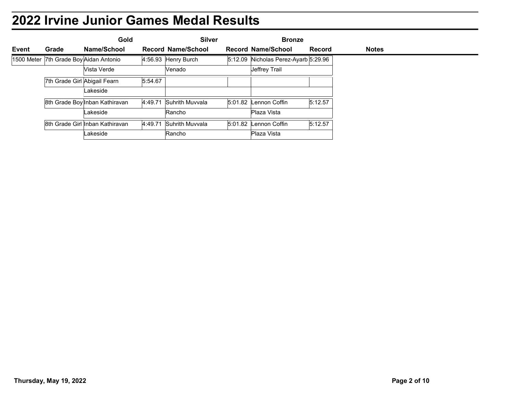|                            |       |                                 | <b>2022 Irvine Junior Games Medal Results</b> |                                            |               |              |  |
|----------------------------|-------|---------------------------------|-----------------------------------------------|--------------------------------------------|---------------|--------------|--|
|                            |       |                                 |                                               |                                            |               |              |  |
|                            |       |                                 |                                               |                                            |               |              |  |
|                            | Grade | Gold<br>Name/School             | <b>Silver</b><br><b>Record Name/School</b>    | <b>Bronze</b><br><b>Record Name/School</b> | <b>Record</b> | <b>Notes</b> |  |
| <b>Event</b><br>1500 Meter |       | 7th Grade Boy Aidan Antonio     | 4:56.93 Henry Burch                           | 5:12.09 Nicholas Perez-Ayarb 5:29.96       |               |              |  |
|                            |       | Vista Verde                     | Venado                                        | Jeffrey Trail                              |               |              |  |
|                            |       | 7th Grade Girl Abigail Fearn    | 5:54.67                                       |                                            |               |              |  |
|                            |       | Lakeside                        |                                               |                                            |               |              |  |
|                            |       | 8th Grade Boy Inban Kathiravan  | 4:49.71 Suhrith Muvvala                       | 5:01.82 Lennon Coffin                      | 5:12.57       |              |  |
|                            |       | Lakeside                        | Rancho                                        | Plaza Vista                                |               |              |  |
|                            |       | 8th Grade Girl Inban Kathiravan | 4:49.71 Suhrith Muvvala                       | 5:01.82 Lennon Coffin                      | 5:12.57       |              |  |
|                            |       | Lakeside                        | Rancho                                        | Plaza Vista                                |               |              |  |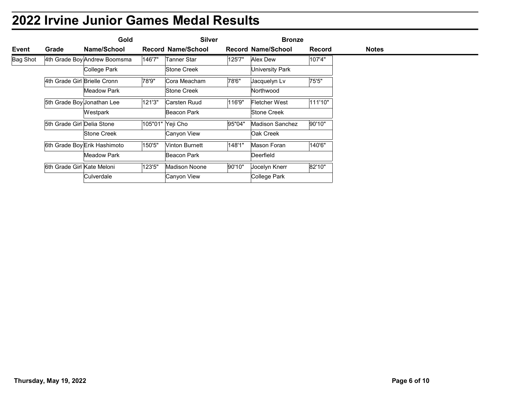|                 |                              | <b>2022 Irvine Junior Games Medal Results</b> |        |                           |        |                           |               |              |
|-----------------|------------------------------|-----------------------------------------------|--------|---------------------------|--------|---------------------------|---------------|--------------|
|                 |                              | Gold                                          |        | <b>Silver</b>             |        | <b>Bronze</b>             |               |              |
| Event           | Grade                        | Name/School                                   |        | <b>Record Name/School</b> |        | <b>Record Name/School</b> | <b>Record</b> | <b>Notes</b> |
| <b>Bag Shot</b> |                              | 4th Grade Boy Andrew Boomsma                  | 146'7" | <b>Tanner Star</b>        | 125'7" | Alex Dew                  | 107'4"        |              |
|                 |                              | College Park                                  |        |                           |        |                           |               |              |
|                 |                              |                                               |        | <b>Stone Creek</b>        |        | University Park           |               |              |
|                 | 4th Grade Girl Brielle Cronn |                                               | 78'9"  | Cora Meacham              | 78'6"  | Jacquelyn Lv              | 75'5"         |              |
|                 |                              | <b>Meadow Park</b>                            |        | <b>Stone Creek</b>        |        | Northwood                 |               |              |
|                 | 5th Grade Boy Jonathan Lee   |                                               | 121'3" | Carsten Ruud              | 116'9" | <b>Fletcher West</b>      | 111'10"       |              |
|                 |                              | Westpark                                      |        | Beacon Park               |        | <b>Stone Creek</b>        |               |              |
|                 | 5th Grade Girl Delia Stone   |                                               |        | 105"01" Yeji Cho          | 95"04" | <b>Madison Sanchez</b>    | 90'10"        |              |
|                 |                              | Stone Creek                                   |        | Canyon View               |        | Oak Creek                 |               |              |
|                 |                              | 6th Grade Boy Erik Hashimoto                  | 150'5" | <b>Vinton Burnett</b>     | 148'1" | Mason Foran               | 140'6"        |              |
|                 |                              | <b>Meadow Park</b>                            |        | <b>Beacon Park</b>        |        | Deerfield                 |               |              |
|                 | 6th Grade Girl Kate Meloni   |                                               | 123'5" | <b>Madison Noone</b>      | 90'10" | Jocelyn Knerr             | 82'10"        |              |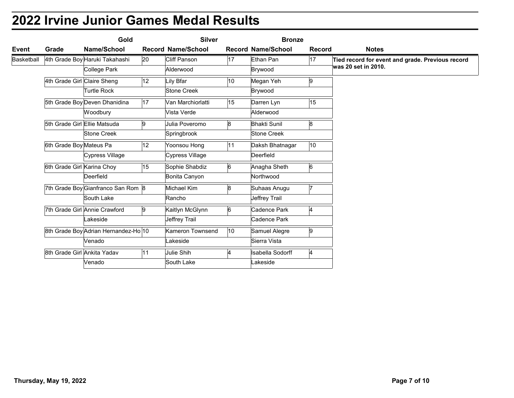| Event<br>Basketball | Grade                       |                                                |    | <b>Silver</b>             |                 | <b>Bronze</b>             |                |                                                                         |
|---------------------|-----------------------------|------------------------------------------------|----|---------------------------|-----------------|---------------------------|----------------|-------------------------------------------------------------------------|
|                     |                             | Name/School                                    |    | <b>Record Name/School</b> |                 | <b>Record Name/School</b> | <b>Record</b>  | <b>Notes</b>                                                            |
|                     |                             | 4th Grade Boy Haruki Takahashi<br>College Park | 20 | Cliff Panson<br>Alderwood | 17              | Ethan Pan<br>Brywood      | 17             | Tied record for event and grade. Previous record<br>was 20 set in 2010. |
|                     | 4th Grade Girl Claire Sheng |                                                | 12 | Lily Bfar                 | 10              | Megan Yeh                 | 9              |                                                                         |
|                     |                             | <b>Turtle Rock</b>                             |    | Stone Creek               |                 | Brywood                   |                |                                                                         |
|                     |                             | 5th Grade Boy Deven Dhanidina                  | 17 | Van Marchiorlatti         | 15              | Darren Lyn                | 15             |                                                                         |
|                     |                             | Woodbury                                       |    | Vista Verde               |                 | Alderwood                 |                |                                                                         |
|                     |                             | 5th Grade Girl Ellie Matsuda                   | 9  | Julia Poveromo            | 8               | <b>Bhakti Sunil</b>       | 8              |                                                                         |
|                     |                             | <b>Stone Creek</b>                             |    | Springbrook               |                 | <b>Stone Creek</b>        |                |                                                                         |
|                     | 6th Grade Boy Mateus Pa     |                                                | 12 | Yoonsou Hong              | 11              | Daksh Bhatnagar           | 10             |                                                                         |
|                     |                             | Cypress Village                                |    | Cypress Village           |                 | Deerfield                 |                |                                                                         |
|                     | 6th Grade Girl Karina Choy  |                                                | 15 | Sophie Shabdiz            | 6               | Anagha Sheth              | 6              |                                                                         |
|                     |                             | Deerfield                                      |    | Bonita Canyon             |                 | Northwood                 |                |                                                                         |
|                     |                             | 7th Grade Boy Gianfranco San Rom 8             |    | Michael Kim               | 8               | Suhaas Anugu              | $\vert$ 7      |                                                                         |
|                     |                             | South Lake                                     |    | Rancho                    |                 | Jeffrey Trail             |                |                                                                         |
|                     |                             | 7th Grade Girl Annie Crawford                  | 9  | Kaitlyn McGlynn           | $6\overline{6}$ | Cadence Park              | $\overline{4}$ |                                                                         |
|                     |                             | Lakeside                                       |    | Jeffrey Trail             |                 | Cadence Park              |                |                                                                         |
|                     |                             | 8th Grade Boy Adrian Hernandez-Ho 10           |    | Kameron Townsend          | $ 10\rangle$    | Samuel Alegre             | 9              |                                                                         |
|                     |                             | Venado                                         |    | Lakeside                  |                 | Sierra Vista              |                |                                                                         |
|                     | 8th Grade Girl Ankita Yadav |                                                | 11 | Julie Shih                | $\overline{A}$  | Isabella Sodorff          | $\overline{4}$ |                                                                         |
|                     |                             | Venado                                         |    | South Lake                |                 | Lakeside                  |                |                                                                         |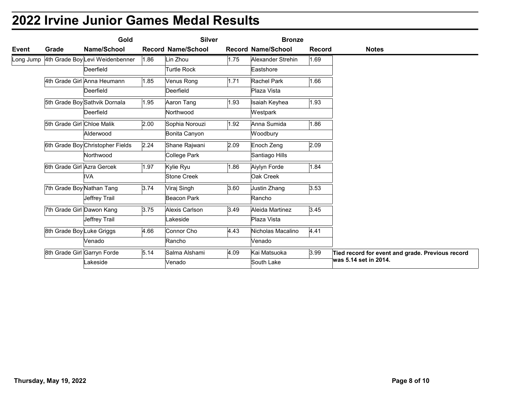| Event | Grade                      | Name/School                                            |      | <b>Silver</b>             |      | <b>Bronze</b>                  |               |                                                                           |
|-------|----------------------------|--------------------------------------------------------|------|---------------------------|------|--------------------------------|---------------|---------------------------------------------------------------------------|
|       |                            |                                                        |      | <b>Record Name/School</b> |      | <b>Record Name/School</b>      | <b>Record</b> | <b>Notes</b>                                                              |
|       |                            | Long Jump 4th Grade Boy Levi Weidenbenner<br>Deerfield | 1.86 | Lin Zhou<br>Turtle Rock   | 1.75 | Alexander Strehin<br>Eastshore | 1.69          |                                                                           |
|       |                            |                                                        |      |                           |      |                                |               |                                                                           |
|       |                            | 4th Grade Girl Anna Heumann<br>Deerfield               | 1.85 | Venus Rong<br>Deerfield   | 1.71 | Rachel Park<br>Plaza Vista     | 1.66          |                                                                           |
|       |                            |                                                        |      |                           |      |                                |               |                                                                           |
|       |                            | 5th Grade Boy Sathvik Dornala<br>Deerfield             | 1.95 | Aaron Tang<br>Northwood   | 1.93 | Isaiah Keyhea<br>Westpark      | 1.93          |                                                                           |
|       | 5th Grade Girl Chloe Malik |                                                        | 2.00 | Sophia Norouzi            | 1.92 | Anna Sumida                    | 1.86          |                                                                           |
|       |                            | Alderwood                                              |      | Bonita Canyon             |      | Woodbury                       |               |                                                                           |
|       |                            | 6th Grade Boy Christopher Fields                       | 2.24 | Shane Rajwani             | 2.09 | Enoch Zeng                     | 2.09          |                                                                           |
|       |                            | Northwood                                              |      | College Park              |      | Santiago Hills                 |               |                                                                           |
|       |                            | 6th Grade Girl Azra Gercek                             | 1.97 | Kylie Ryu                 | 1.86 | Aiylyn Forde                   | 1.84          |                                                                           |
|       |                            | <b>IVA</b>                                             |      | Stone Creek               |      | Oak Creek                      |               |                                                                           |
|       |                            | 7th Grade Boy Nathan Tang                              | 3.74 | Viraj Singh               | 3.60 | Justin Zhang                   | 3.53          |                                                                           |
|       |                            | Jeffrey Trail                                          |      | Beacon Park               |      | Rancho                         |               |                                                                           |
|       |                            | 7th Grade Girl Dawon Kang                              | 3.75 | Alexis Carlson            | 3.49 | Aleida Martinez                | 3.45          |                                                                           |
|       |                            | Jeffrey Trail                                          |      | Lakeside                  |      | Plaza Vista                    |               |                                                                           |
|       |                            | 8th Grade Boy Luke Griggs                              | 4.66 | Connor Cho                | 4.43 | Nicholas Macalino              | 4.41          |                                                                           |
|       |                            | Venado                                                 |      | Rancho                    |      | Venado                         |               |                                                                           |
|       |                            | 8th Grade Girl Garryn Forde<br>akeside                 | 5.14 | Salma Alshami<br>Venado   | 4.09 | Kai Matsuoka<br>South Lake     | 3.99          | Tied record for event and grade. Previous record<br>was 5.14 set in 2014. |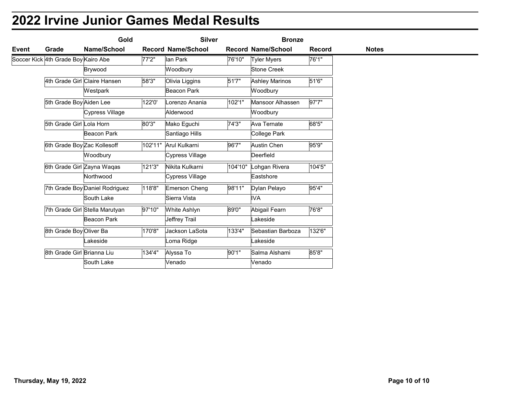|       |                                     | Gold                           |        | <b>Silver</b>             |                 | <b>Bronze</b>                     |               |              |
|-------|-------------------------------------|--------------------------------|--------|---------------------------|-----------------|-----------------------------------|---------------|--------------|
| Event | Grade                               | Name/School                    |        | <b>Record Name/School</b> |                 | <b>Record Name/School</b>         | <b>Record</b> | <b>Notes</b> |
|       | Soccer Kick 4th Grade Boy Kairo Abe | Brywood                        | 77'2"  | lan Park<br>Woodbury      | 76'10"          | <b>Tyler Myers</b><br>Stone Creek | 76'1"         |              |
|       |                                     | 4th Grade Girl Claire Hansen   | 58'3"  | Olivia Liggins            | 51'7"           | <b>Ashley Marinos</b>             | 51'6"         |              |
|       |                                     | Westpark                       |        | Beacon Park               |                 | Woodbury                          |               |              |
|       | 5th Grade Boy Aiden Lee             |                                | 122'0' | Lorenzo Anania            | 102'1"          | Mansoor Alhassen                  | 97'7"         |              |
|       |                                     | Cypress Village                |        | Alderwood                 |                 | Woodbury                          |               |              |
|       | 5th Grade Girl Lola Horn            |                                | 80'3"  | Mako Eguchi               | $\sqrt{74'3''}$ | Ava Ternate                       | 68'5"         |              |
|       |                                     | Beacon Park                    |        | Santiago Hills            |                 | College Park                      |               |              |
|       | 6th Grade Boy Zac Kollesoff         |                                |        | 102'11" Arul Kulkarni     | 96'7"           | Austin Chen                       | 95'9"         |              |
|       |                                     | Woodbury                       |        | Cypress Village           |                 | Deerfield                         |               |              |
|       |                                     | 6th Grade Girl Zayna Waqas     | 121'3" | Nikita Kulkarni           |                 | 104'10" Lohgan Rivera             | 104'5"        |              |
|       |                                     | Northwood                      |        | Cypress Village           |                 | Eastshore                         |               |              |
|       |                                     | 7th Grade Boy Daniel Rodriguez | 118'8" | Emerson Cheng             | 98'11"          | Dylan Pelayo                      | 95'4"         |              |
|       |                                     | South Lake                     |        | Sierra Vista              |                 | <b>IVA</b>                        |               |              |
|       |                                     | 7th Grade Girl Stella Marutyan | 97'10" | White Ashlyn              | 89'0"           | Abigail Fearn                     | 76'8"         |              |
|       |                                     | Beacon Park                    |        | Jeffrey Trail             |                 | Lakeside                          |               |              |
|       | 8th Grade Boy Oliver Ba             |                                | 170'8" | Jackson LaSota            | 133'4"          | Sebastian Barboza                 | 132'6"        |              |
|       |                                     | Lakeside                       |        | Loma Ridge                |                 | Lakeside                          |               |              |
|       | 8th Grade Girl Brianna Liu          |                                | 134'4" | Alyssa To                 | 90'1"           | Salma Alshami                     | 85'8"         |              |
|       |                                     | South Lake                     |        | Venado                    |                 | Venado                            |               |              |